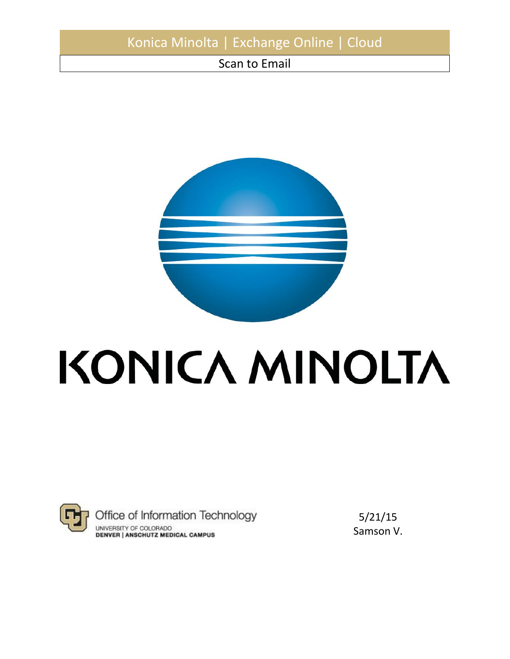# Konica Minolta | Exchange Online | Cloud

Scan to Email



# KONICA MINOLTA



Office of Information Technology UNIVERSITY OF COLORADO **DENVER | ANSCHUTZ MEDICAL CAMPUS** 

5/21/15 Samson V.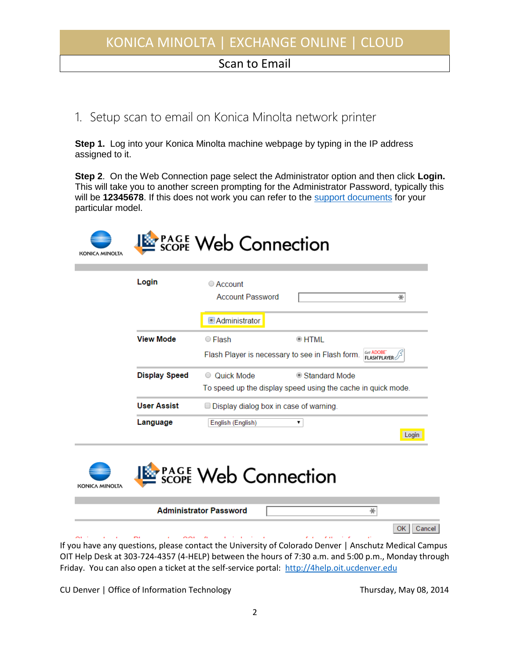#### Scan to Email

### 1. Setup scan to email on Konica Minolta network printer

**Step 1.** Log into your Konica Minolta machine webpage by typing in the IP address assigned to it.

**Step 2**. On the Web Connection page select the Administrator option and then click **Login.**  This will take you to another screen prompting for the Administrator Password, typically this will be **12345678**. If this does not work you can refer to the [support documents](http://www.biz.konicaminolta.com/download/index.html) for your particular model.



| Login                | $\circ$ Account<br><b>Account Password</b><br>∗                                     |  |  |  |
|----------------------|-------------------------------------------------------------------------------------|--|--|--|
|                      | Administrator                                                                       |  |  |  |
| <b>View Mode</b>     | $\circ$ HTML<br>$\circ$ Flash                                                       |  |  |  |
|                      | Get ADOBE<br>Flash Player is necessary to see in Flash form.<br><b>FLASH PLAYER</b> |  |  |  |
| <b>Display Speed</b> | Quick Mode<br>● Standard Mode<br>$\cup$                                             |  |  |  |
|                      | To speed up the display speed using the cache in quick mode.                        |  |  |  |
| <b>User Assist</b>   | $\Box$ Display dialog box in case of warning.                                       |  |  |  |
| Language             | English (English)<br>▼                                                              |  |  |  |
|                      | Login                                                                               |  |  |  |

| KONICA MINOLTA | <b>EXPAGE Web Connection</b>                                                                     |              |
|----------------|--------------------------------------------------------------------------------------------------|--------------|
|                | <b>Administrator Password</b>                                                                    |              |
|                |                                                                                                  | Cancel<br>OK |
|                | ou have any questions, please contact the University of Colorado Denver   Anschutz Medical Campu |              |

If you have any questions, please contact the University of Colorado Denver | Anschutz Medical Campus OIT Help Desk at 303-724-4357 (4-HELP) between the hours of 7:30 a.m. and 5:00 p.m., Monday through Friday. You can also open a ticket at the self-service portal: [http://4help.oit.ucdenver.edu](http://4help.oit.ucdenver.edu/)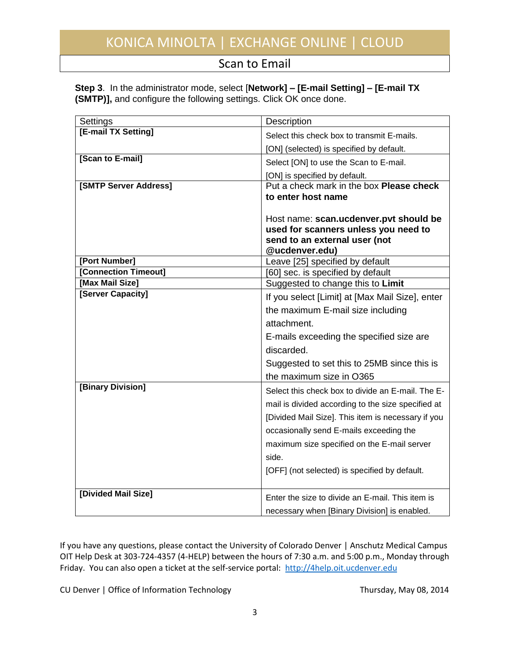#### Scan to Email

|                                                                    | Step 3. In the administrator mode, select [Network] – [E-mail Setting] – [E-mail TX |  |
|--------------------------------------------------------------------|-------------------------------------------------------------------------------------|--|
| (SMTP)], and configure the following settings. Click OK once done. |                                                                                     |  |

| Settings              | Description                                        |  |  |  |
|-----------------------|----------------------------------------------------|--|--|--|
| [E-mail TX Setting]   | Select this check box to transmit E-mails.         |  |  |  |
|                       | [ON] (selected) is specified by default.           |  |  |  |
| [Scan to E-mail]      | Select [ON] to use the Scan to E-mail.             |  |  |  |
|                       | [ON] is specified by default.                      |  |  |  |
| [SMTP Server Address] | Put a check mark in the box Please check           |  |  |  |
|                       | to enter host name                                 |  |  |  |
|                       | Host name: scan.ucdenver.pvt should be             |  |  |  |
|                       | used for scanners unless you need to               |  |  |  |
|                       | send to an external user (not                      |  |  |  |
|                       | @ucdenver.edu)                                     |  |  |  |
| [Port Number]         | Leave [25] specified by default                    |  |  |  |
| [Connection Timeout]  | [60] sec. is specified by default                  |  |  |  |
| [Max Mail Size]       | Suggested to change this to Limit                  |  |  |  |
| [Server Capacity]     | If you select [Limit] at [Max Mail Size], enter    |  |  |  |
|                       | the maximum E-mail size including                  |  |  |  |
|                       | attachment.                                        |  |  |  |
|                       | E-mails exceeding the specified size are           |  |  |  |
|                       | discarded.                                         |  |  |  |
|                       | Suggested to set this to 25MB since this is        |  |  |  |
|                       | the maximum size in O365                           |  |  |  |
| [Binary Division]     | Select this check box to divide an E-mail. The E-  |  |  |  |
|                       | mail is divided according to the size specified at |  |  |  |
|                       | [Divided Mail Size]. This item is necessary if you |  |  |  |
|                       | occasionally send E-mails exceeding the            |  |  |  |
|                       | maximum size specified on the E-mail server        |  |  |  |
|                       | side.                                              |  |  |  |
|                       | [OFF] (not selected) is specified by default.      |  |  |  |
|                       |                                                    |  |  |  |
| [Divided Mail Size]   | Enter the size to divide an E-mail. This item is   |  |  |  |
|                       | necessary when [Binary Division] is enabled.       |  |  |  |

If you have any questions, please contact the University of Colorado Denver | Anschutz Medical Campus OIT Help Desk at 303-724-4357 (4-HELP) between the hours of 7:30 a.m. and 5:00 p.m., Monday through Friday. You can also open a ticket at the self-service portal: [http://4help.oit.ucdenver.edu](http://4help.oit.ucdenver.edu/)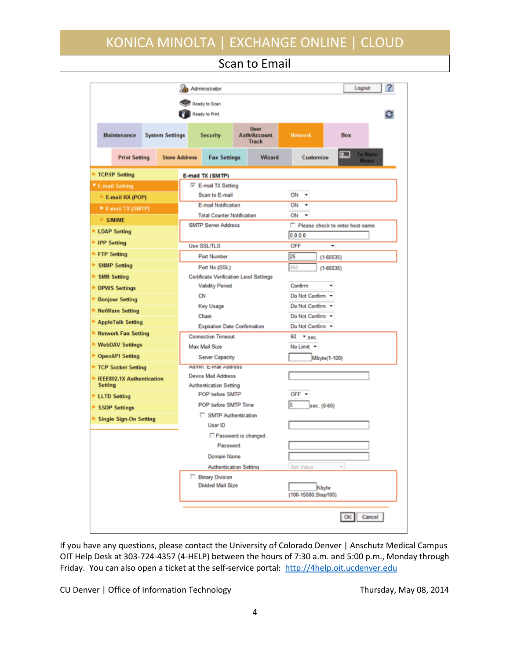Scan to Email

|                                       | Administrator                                                    |                                      |                                  | 2<br>Logout                  |  |
|---------------------------------------|------------------------------------------------------------------|--------------------------------------|----------------------------------|------------------------------|--|
|                                       | Ready to Scan                                                    |                                      |                                  |                              |  |
| Ready to Print                        |                                                                  |                                      |                                  |                              |  |
| Maintenance<br><b>System Settings</b> | <b>Security</b>                                                  | User<br><b>Auth/Account</b><br>Track | Network                          | Box                          |  |
| <b>Print Setting</b>                  | <b>Store Address</b><br><b>Fax Settings</b>                      | Wizard                               | Customize                        | To Main<br> 呈<br><b>Meau</b> |  |
| <b>TCP/IP Setting</b>                 | E-mail TX (SMTP)                                                 |                                      |                                  |                              |  |
| ▼ E-mail Setting                      | E-mail TX Setting                                                |                                      |                                  |                              |  |
| E-mail RX (POP)                       | Scan to E-mail                                                   |                                      | ON<br>٠                          |                              |  |
| ▶ E-mail TX (SMTP)                    | <b>E-mail Notification</b>                                       |                                      | ON<br>۰                          |                              |  |
| <b>E-S/MIME</b>                       | <b>Total Counter Notification</b>                                |                                      | ON<br>٠                          |                              |  |
|                                       | <b>SMTP Server Address</b>                                       |                                      | Please check to enter host name. |                              |  |
| <b>ELDAP Setting</b>                  |                                                                  |                                      | 0.0.0.0                          |                              |  |
| <b>PP</b> Setting                     | <b>Use SSL/TLS</b>                                               |                                      | OFF                              |                              |  |
| <b>RETP Setting</b>                   | Port Number                                                      |                                      | 25<br>$(1-65535)$                |                              |  |
| SNMP Setting                          | Port No.(SSL)                                                    |                                      | 465<br>$(1-65535)$               |                              |  |
| SMB Setting                           | <b>Certificate Verification Level Settings</b>                   |                                      |                                  |                              |  |
| <b>DPWS Settings</b>                  | <b>Validity Period</b>                                           |                                      | Confirm                          |                              |  |
| Bonjour Setting                       | CN                                                               |                                      | Do Not Confirm -                 |                              |  |
| R: NetWare Setting                    | Key Usage                                                        |                                      | Do Not Confirm *                 |                              |  |
| AppleTalk Setting                     | Chain                                                            |                                      | Do Not Confirm =                 |                              |  |
| R Network Fax Setting                 | <b>Expiration Date Confirmation</b><br><b>Connection Timeout</b> |                                      | Do Not Confirm -                 |                              |  |
| <b>▶ WebDAV Settings</b>              | Max Mail Size                                                    |                                      | 60<br>$\star$ sec.<br>No Limit - |                              |  |
| ▶ OpenAPI Setting                     |                                                                  |                                      |                                  |                              |  |
| TCP Socket Setting                    | Server Capacity<br>Admin. E-mail Address                         |                                      | Mbyte(1-100)                     |                              |  |
| ▶ IEEE802.1X Authentication           | Device Mail Address                                              |                                      |                                  |                              |  |
| <b>Setting</b>                        | <b>Authentication Setting</b>                                    |                                      |                                  |                              |  |
| <b>LLTD Setting</b>                   |                                                                  | POP before SMTP                      |                                  | OFF $=$                      |  |
| SSDP Settings                         | POP before SMTP Time                                             |                                      | 15<br>sec. (0-60)                |                              |  |
| Single Sign-On Setting                | □ SMTP Authentication                                            |                                      |                                  |                              |  |
|                                       | User ID                                                          |                                      |                                  |                              |  |
|                                       |                                                                  | Password is changed.                 |                                  |                              |  |
|                                       | Password                                                         |                                      |                                  |                              |  |
|                                       | Domain Name                                                      |                                      |                                  |                              |  |
|                                       |                                                                  | <b>Authentication Setting</b>        | Set Value                        | $\sim$                       |  |
|                                       | <b>Binary Division</b>                                           |                                      |                                  |                              |  |
|                                       | Divided Mail Size                                                |                                      | Kbyte<br>(100-15000;Step100)     |                              |  |
|                                       |                                                                  |                                      |                                  | Cancel                       |  |
|                                       |                                                                  |                                      |                                  |                              |  |

If you have any questions, please contact the University of Colorado Denver | Anschutz Medical Campus OIT Help Desk at 303-724-4357 (4-HELP) between the hours of 7:30 a.m. and 5:00 p.m., Monday through Friday. You can also open a ticket at the self-service portal: [http://4help.oit.ucdenver.edu](http://4help.oit.ucdenver.edu/)